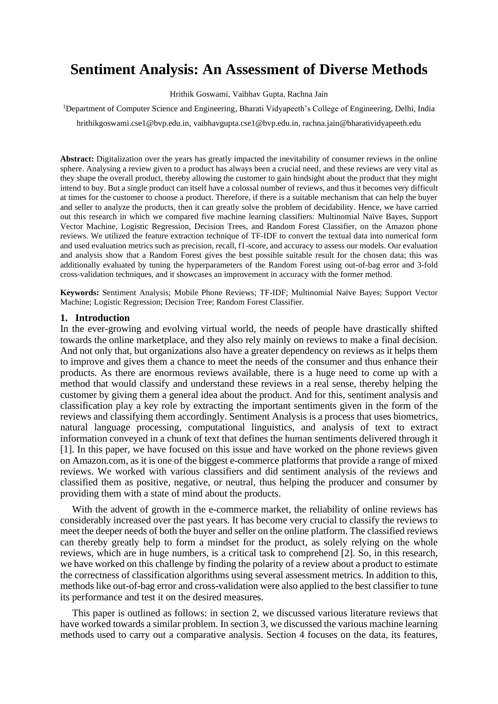# **Sentiment Analysis: An Assessment of Diverse Methods**

Hrithik Goswami, Vaibhav Gupta, Rachna Jain

<sup>1</sup>Department of Computer Science and Engineering, Bharati Vidyapeeth's College of Engineering, Delhi, India

[hrithikgoswami.cse1@bvp.edu.in,](https://d.docs.live.net/b3018245e26f8cea/Desktop/NOTES/Mini%20Project/RP/hrithikgoswami.cse1@bvp.edu.in) [vaibhavgupta.cse1@bvp.edu.in,](https://d.docs.live.net/b3018245e26f8cea/Desktop/NOTES/Mini%20Project/RP/vaibhavgupta.cse1@bvp.edu.in) [rachna.jain@bharatividyapeeth.edu](https://d.docs.live.net/b3018245e26f8cea/Desktop/NOTES/Mini%20Project/RP/rachna.jain@bharatividyapeeth.edu)

Abstract: Digitalization over the years has greatly impacted the inevitability of consumer reviews in the online sphere. Analysing a review given to a product has always been a crucial need, and these reviews are very vital as they shape the overall product, thereby allowing the customer to gain hindsight about the product that they might intend to buy. But a single product can itself have a colossal number of reviews, and thus it becomes very difficult at times for the customer to choose a product. Therefore, if there is a suitable mechanism that can help the buyer and seller to analyze the products, then it can greatly solve the problem of decidability. Hence, we have carried out this research in which we compared five machine learning classifiers: Multinomial Naïve Bayes, Support Vector Machine, Logistic Regression, Decision Trees, and Random Forest Classifier, on the Amazon phone reviews. We utilized the feature extraction technique of TF-IDF to convert the textual data into numerical form and used evaluation metrics such as precision, recall, f1-score, and accuracy to assess our models. Our evaluation and analysis show that a Random Forest gives the best possible suitable result for the chosen data; this was additionally evaluated by tuning the hyperparameters of the Random Forest using out-of-bag error and 3-fold cross-validation techniques, and it showcases an improvement in accuracy with the former method.

**Keywords:** Sentiment Analysis; Mobile Phone Reviews; TF-IDF; Multinomial Naïve Bayes; Support Vector Machine; Logistic Regression; Decision Tree; Random Forest Classifier.

#### **1. Introduction**

In the ever-growing and evolving virtual world, the needs of people have drastically shifted towards the online marketplace, and they also rely mainly on reviews to make a final decision. And not only that, but organizations also have a greater dependency on reviews as it helps them to improve and gives them a chance to meet the needs of the consumer and thus enhance their products. As there are enormous reviews available, there is a huge need to come up with a method that would classify and understand these reviews in a real sense, thereby helping the customer by giving them a general idea about the product. And for this, sentiment analysis and classification play a key role by extracting the important sentiments given in the form of the reviews and classifying them accordingly. Sentiment Analysis is a process that uses biometrics, natural language processing, computational linguistics, and analysis of text to extract information conveyed in a chunk of text that defines the human sentiments delivered through it [1]. In this paper, we have focused on this issue and have worked on the phone reviews given on Amazon.com, as it is one of the biggest e-commerce platforms that provide a range of mixed reviews. We worked with various classifiers and did sentiment analysis of the reviews and classified them as positive, negative, or neutral, thus helping the producer and consumer by providing them with a state of mind about the products.

With the advent of growth in the e-commerce market, the reliability of online reviews has considerably increased over the past years. It has become very crucial to classify the reviews to meet the deeper needs of both the buyer and seller on the online platform. The classified reviews can thereby greatly help to form a mindset for the product, as solely relying on the whole reviews, which are in huge numbers, is a critical task to comprehend [2]. So, in this research, we have worked on this challenge by finding the polarity of a review about a product to estimate the correctness of classification algorithms using several assessment metrics. In addition to this, methods like out-of-bag error and cross-validation were also applied to the best classifier to tune its performance and test it on the desired measures.

This paper is outlined as follows: in section 2, we discussed various literature reviews that have worked towards a similar problem. In section 3, we discussed the various machine learning methods used to carry out a comparative analysis. Section 4 focuses on the data, its features,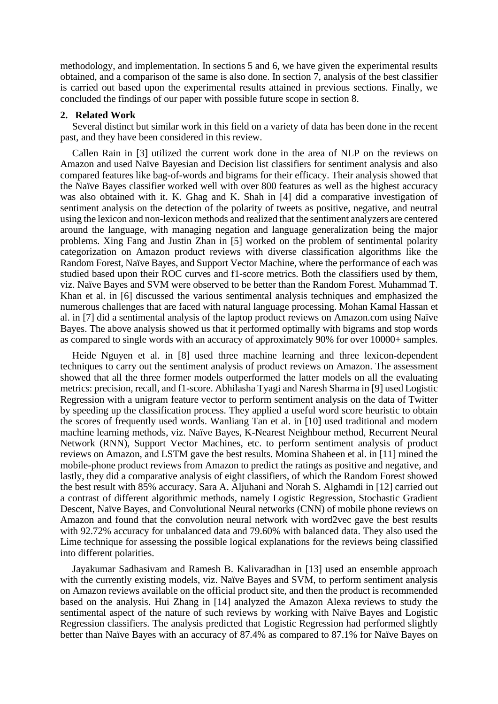methodology, and implementation. In sections 5 and 6, we have given the experimental results obtained, and a comparison of the same is also done. In section 7, analysis of the best classifier is carried out based upon the experimental results attained in previous sections. Finally, we concluded the findings of our paper with possible future scope in section 8.

#### **2. Related Work**

Several distinct but similar work in this field on a variety of data has been done in the recent past, and they have been considered in this review.

Callen Rain in [3] utilized the current work done in the area of NLP on the reviews on Amazon and used Naïve Bayesian and Decision list classifiers for sentiment analysis and also compared features like bag-of-words and bigrams for their efficacy. Their analysis showed that the Naïve Bayes classifier worked well with over 800 features as well as the highest accuracy was also obtained with it. K. Ghag and K. Shah in [4] did a comparative investigation of sentiment analysis on the detection of the polarity of tweets as positive, negative, and neutral using the lexicon and non-lexicon methods and realized that the sentiment analyzers are centered around the language, with managing negation and language generalization being the major problems. Xing Fang and Justin Zhan in [5] worked on the problem of sentimental polarity categorization on Amazon product reviews with diverse classification algorithms like the Random Forest, Naïve Bayes, and Support Vector Machine, where the performance of each was studied based upon their ROC curves and f1-score metrics. Both the classifiers used by them, viz. Naïve Bayes and SVM were observed to be better than the Random Forest. Muhammad T. Khan et al. in [6] discussed the various sentimental analysis techniques and emphasized the numerous challenges that are faced with natural language processing. Mohan Kamal Hassan et al. in [7] did a sentimental analysis of the laptop product reviews on Amazon.com using Naïve Bayes. The above analysis showed us that it performed optimally with bigrams and stop words as compared to single words with an accuracy of approximately 90% for over 10000+ samples.

Heide Nguyen et al. in [8] used three machine learning and three lexicon-dependent techniques to carry out the sentiment analysis of product reviews on Amazon. The assessment showed that all the three former models outperformed the latter models on all the evaluating metrics: precision, recall, and f1-score. Abhilasha Tyagi and Naresh Sharma in [9] used Logistic Regression with a unigram feature vector to perform sentiment analysis on the data of Twitter by speeding up the classification process. They applied a useful word score heuristic to obtain the scores of frequently used words. Wanliang Tan et al. in [10] used traditional and modern machine learning methods, viz. Naïve Bayes, K-Nearest Neighbour method, Recurrent Neural Network (RNN), Support Vector Machines, etc. to perform sentiment analysis of product reviews on Amazon, and LSTM gave the best results. Momina Shaheen et al. in [11] mined the mobile-phone product reviews from Amazon to predict the ratings as positive and negative, and lastly, they did a comparative analysis of eight classifiers, of which the Random Forest showed the best result with 85% accuracy. Sara A. Aljuhani and Norah S. Alghamdi in [12] carried out a contrast of different algorithmic methods, namely Logistic Regression, Stochastic Gradient Descent, Naïve Bayes, and Convolutional Neural networks (CNN) of mobile phone reviews on Amazon and found that the convolution neural network with word2vec gave the best results with 92.72% accuracy for unbalanced data and 79.60% with balanced data. They also used the Lime technique for assessing the possible logical explanations for the reviews being classified into different polarities.

Jayakumar Sadhasivam and Ramesh B. Kalivaradhan in [13] used an ensemble approach with the currently existing models, viz. Naïve Bayes and SVM, to perform sentiment analysis on Amazon reviews available on the official product site, and then the product is recommended based on the analysis. Hui Zhang in [14] analyzed the Amazon Alexa reviews to study the sentimental aspect of the nature of such reviews by working with Naïve Bayes and Logistic Regression classifiers. The analysis predicted that Logistic Regression had performed slightly better than Naïve Bayes with an accuracy of 87.4% as compared to 87.1% for Naïve Bayes on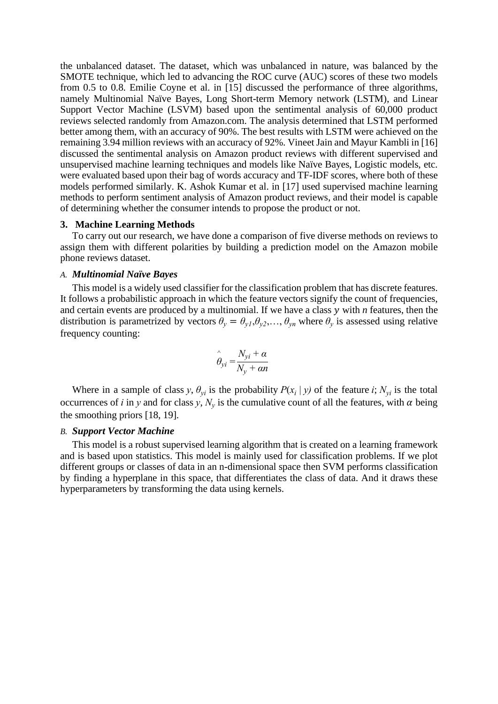the unbalanced dataset. The dataset, which was unbalanced in nature, was balanced by the SMOTE technique, which led to advancing the ROC curve (AUC) scores of these two models from 0.5 to 0.8. Emilie Coyne et al. in [15] discussed the performance of three algorithms, namely Multinomial Naïve Bayes, Long Short-term Memory network (LSTM), and Linear Support Vector Machine (LSVM) based upon the sentimental analysis of 60,000 product reviews selected randomly from Amazon.com. The analysis determined that LSTM performed better among them, with an accuracy of 90%. The best results with LSTM were achieved on the remaining 3.94 million reviews with an accuracy of 92%. Vineet Jain and Mayur Kambli in [16] discussed the sentimental analysis on Amazon product reviews with different supervised and unsupervised machine learning techniques and models like Naïve Bayes, Logistic models, etc. were evaluated based upon their bag of words accuracy and TF-IDF scores, where both of these models performed similarly. K. Ashok Kumar et al. in [17] used supervised machine learning methods to perform sentiment analysis of Amazon product reviews, and their model is capable of determining whether the consumer intends to propose the product or not.

## **3. Machine Learning Methods**

To carry out our research, we have done a comparison of five diverse methods on reviews to assign them with different polarities by building a prediction model on the Amazon mobile phone reviews dataset.

#### *A. Multinomial Naïve Bayes*

This model is a widely used classifier for the classification problem that has discrete features. It follows a probabilistic approach in which the feature vectors signify the count of frequencies, and certain events are produced by a multinomial. If we have a class y with *n* features, then the distribution is parametrized by vectors  $\theta_y = \theta_{y1}, \theta_{y2}, \dots, \theta_{yn}$  where  $\theta_y$  is assessed using relative frequency counting:

$$
\hat{\theta}_{yi} = \frac{N_{yi} + \alpha}{N_y + \alpha n}
$$

Where in a sample of class *y*,  $\theta_{yi}$  is the probability  $P(x_i | y)$  of the feature *i*;  $N_{yi}$  is the total occurrences of *i* in *y* and for class *y*,  $N_y$  is the cumulative count of all the features, with  $\alpha$  being the smoothing priors [18, 19].

#### *B. Support Vector Machine*

This model is a robust supervised learning algorithm that is created on a learning framework and is based upon statistics. This model is mainly used for classification problems. If we plot different groups or classes of data in an n-dimensional space then SVM performs classification by finding a hyperplane in this space, that differentiates the class of data. And it draws these hyperparameters by transforming the data using kernels.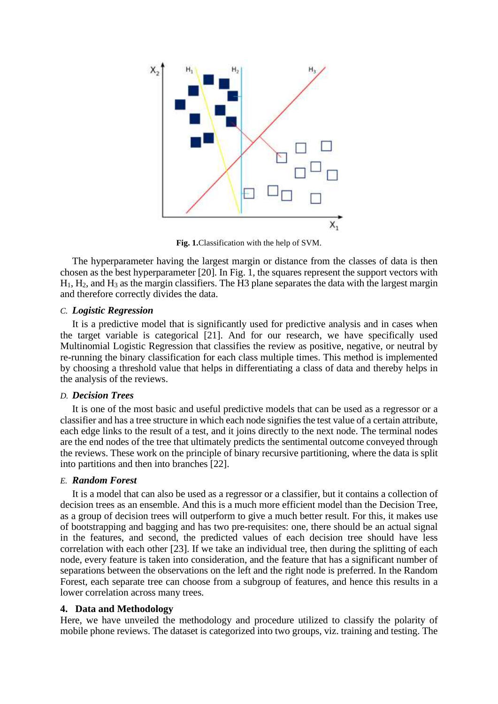

**Fig. 1.**Classification with the help of SVM.

The hyperparameter having the largest margin or distance from the classes of data is then chosen as the best hyperparameter [20]. In Fig. 1, the squares represent the support vectors with  $H_1$ ,  $H_2$ , and  $H_3$  as the margin classifiers. The H3 plane separates the data with the largest margin and therefore correctly divides the data.

## *C. Logistic Regression*

It is a predictive model that is significantly used for predictive analysis and in cases when the target variable is categorical [21]. And for our research, we have specifically used Multinomial Logistic Regression that classifies the review as positive, negative, or neutral by re-running the binary classification for each class multiple times. This method is implemented by choosing a threshold value that helps in differentiating a class of data and thereby helps in the analysis of the reviews.

## *D. Decision Trees*

It is one of the most basic and useful predictive models that can be used as a regressor or a classifier and has a tree structure in which each node signifies the test value of a certain attribute, each edge links to the result of a test, and it joins directly to the next node. The terminal nodes are the end nodes of the tree that ultimately predicts the sentimental outcome conveyed through the reviews. These work on the principle of binary recursive partitioning, where the data is split into partitions and then into branches [22].

## *E. Random Forest*

It is a model that can also be used as a regressor or a classifier, but it contains a collection of decision trees as an ensemble. And this is a much more efficient model than the Decision Tree, as a group of decision trees will outperform to give a much better result. For this, it makes use of bootstrapping and bagging and has two pre-requisites: one, there should be an actual signal in the features, and second, the predicted values of each decision tree should have less correlation with each other [23]. If we take an individual tree, then during the splitting of each node, every feature is taken into consideration, and the feature that has a significant number of separations between the observations on the left and the right node is preferred. In the Random Forest, each separate tree can choose from a subgroup of features, and hence this results in a lower correlation across many trees.

# **4. Data and Methodology**

Here, we have unveiled the methodology and procedure utilized to classify the polarity of mobile phone reviews. The dataset is categorized into two groups, viz. training and testing. The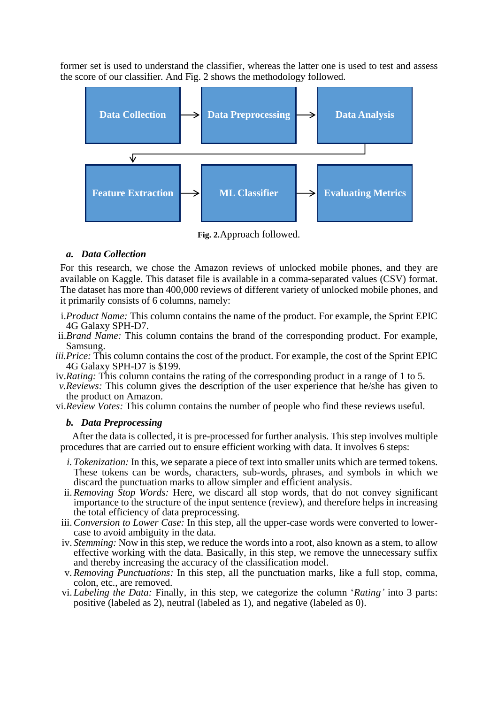former set is used to understand the classifier, whereas the latter one is used to test and assess the score of our classifier. And Fig. 2 shows the methodology followed.



**Fig. 2.**Approach followed.

# *a. Data Collection*

For this research, we chose the Amazon reviews of unlocked mobile phones, and they are available on Kaggle. This dataset file is available in a comma-separated values (CSV) format. The dataset has more than 400,000 reviews of different variety of unlocked mobile phones, and it primarily consists of 6 columns, namely:

- i.*Product Name:* This column contains the name of the product. For example, the Sprint EPIC 4G Galaxy SPH-D7.
- ii.*Brand Name:* This column contains the brand of the corresponding product. For example, Samsung.
- *iii.Price:* This column contains the cost of the product. For example, the cost of the Sprint EPIC 4G Galaxy SPH-D7 is \$199.
- iv.*Rating:* This column contains the rating of the corresponding product in a range of 1 to 5.
- *v.Reviews:* This column gives the description of the user experience that he/she has given to the product on Amazon.

vi.*Review Votes:* This column contains the number of people who find these reviews useful.

# *b. Data Preprocessing*

After the data is collected, it is pre-processed for further analysis. This step involves multiple procedures that are carried out to ensure efficient working with data. It involves 6 steps:

- *i. Tokenization:* In this, we separate a piece of text into smaller units which are termed tokens. These tokens can be words, characters, sub-words, phrases, and symbols in which we discard the punctuation marks to allow simpler and efficient analysis.
- ii.*Removing Stop Words:* Here, we discard all stop words, that do not convey significant importance to the structure of the input sentence (review), and therefore helps in increasing the total efficiency of data preprocessing.
- iii.*Conversion to Lower Case:* In this step, all the upper-case words were converted to lowercase to avoid ambiguity in the data.
- iv. *Stemming:* Now in this step, we reduce the words into a root, also known as a stem, to allow effective working with the data. Basically, in this step, we remove the unnecessary suffix and thereby increasing the accuracy of the classification model.
- v. *Removing Punctuations:* In this step, all the punctuation marks, like a full stop, comma, colon, etc., are removed.
- vi. *Labeling the Data:* Finally, in this step, we categorize the column '*Rating'* into 3 parts: positive (labeled as 2), neutral (labeled as 1), and negative (labeled as 0).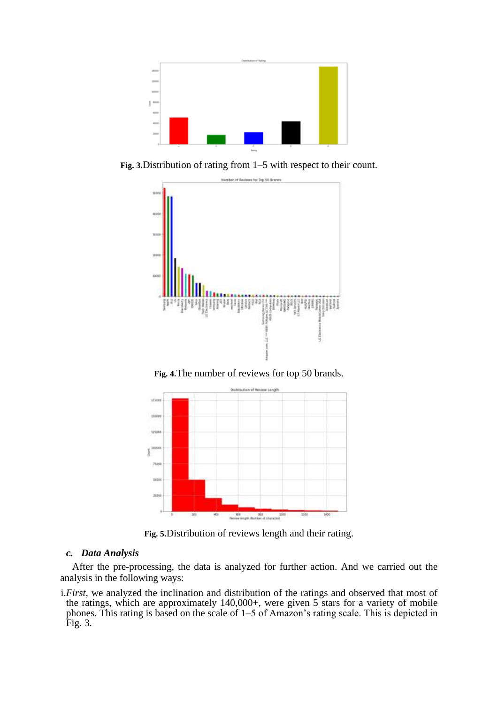

**Fig. 3.**Distribution of rating from 1–5 with respect to their count.



**Fig. 4.**The number of reviews for top 50 brands.



**Fig. 5.**Distribution of reviews length and their rating.

## *c. Data Analysis*

After the pre-processing, the data is analyzed for further action. And we carried out the analysis in the following ways:

i.*First,* we analyzed the inclination and distribution of the ratings and observed that most of the ratings, which are approximately 140,000+, were given 5 stars for a variety of mobile phones. This rating is based on the scale of 1–5 of Amazon's rating scale. This is depicted in Fig. 3.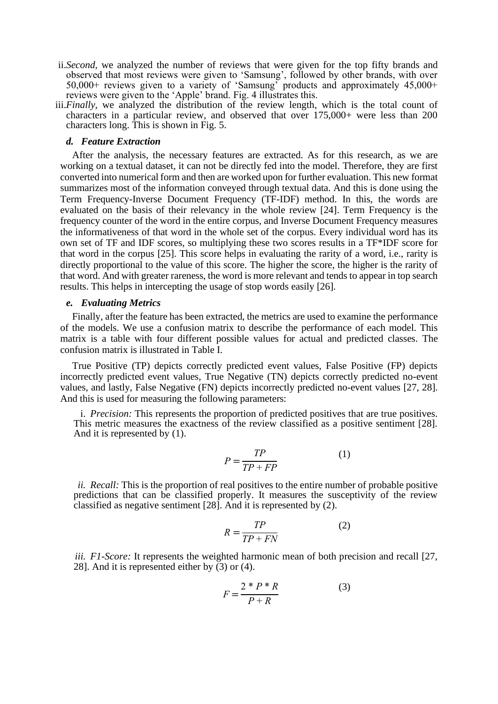- ii.*Second,* we analyzed the number of reviews that were given for the top fifty brands and observed that most reviews were given to 'Samsung', followed by other brands, with over 50,000+ reviews given to a variety of 'Samsung' products and approximately 45,000+ reviews were given to the 'Apple' brand. Fig. 4 illustrates this.
- iii.*Finally,* we analyzed the distribution of the review length, which is the total count of characters in a particular review, and observed that over 175,000+ were less than 200 characters long. This is shown in Fig. 5.

#### *d. Feature Extraction*

After the analysis, the necessary features are extracted. As for this research, as we are working on a textual dataset, it can not be directly fed into the model. Therefore, they are first converted into numerical form and then are worked upon for further evaluation. This new format summarizes most of the information conveyed through textual data. And this is done using the Term Frequency-Inverse Document Frequency (TF-IDF) method. In this, the words are evaluated on the basis of their relevancy in the whole review [24]. Term Frequency is the frequency counter of the word in the entire corpus, and Inverse Document Frequency measures the informativeness of that word in the whole set of the corpus. Every individual word has its own set of TF and IDF scores, so multiplying these two scores results in a TF\*IDF score for that word in the corpus [25]. This score helps in evaluating the rarity of a word, i.e., rarity is directly proportional to the value of this score. The higher the score, the higher is the rarity of that word. And with greater rareness, the word is more relevant and tends to appear in top search results. This helps in intercepting the usage of stop words easily [26].

#### *e. Evaluating Metrics*

Finally, after the feature has been extracted, the metrics are used to examine the performance of the models. We use a confusion matrix to describe the performance of each model. This matrix is a table with four different possible values for actual and predicted classes. The confusion matrix is illustrated in Table I.

True Positive (TP) depicts correctly predicted event values, False Positive (FP) depicts incorrectly predicted event values, True Negative (TN) depicts correctly predicted no-event values, and lastly, False Negative (FN) depicts incorrectly predicted no-event values [27, 28]. And this is used for measuring the following parameters:

i. *Precision:* This represents the proportion of predicted positives that are true positives. This metric measures the exactness of the review classified as a positive sentiment [28]. And it is represented by (1).

$$
P = \frac{TP}{TP + FP}
$$
 (1)

*ii. Recall:* This is the proportion of real positives to the entire number of probable positive predictions that can be classified properly. It measures the susceptivity of the review classified as negative sentiment [28]. And it is represented by (2).

$$
R = \frac{TP}{TP + FN} \tag{2}
$$

*iii. F1-Score:* It represents the weighted harmonic mean of both precision and recall [27, 28]. And it is represented either by  $(3)$  or  $(4)$ .

$$
F = \frac{2 \cdot P \cdot R}{P + R} \tag{3}
$$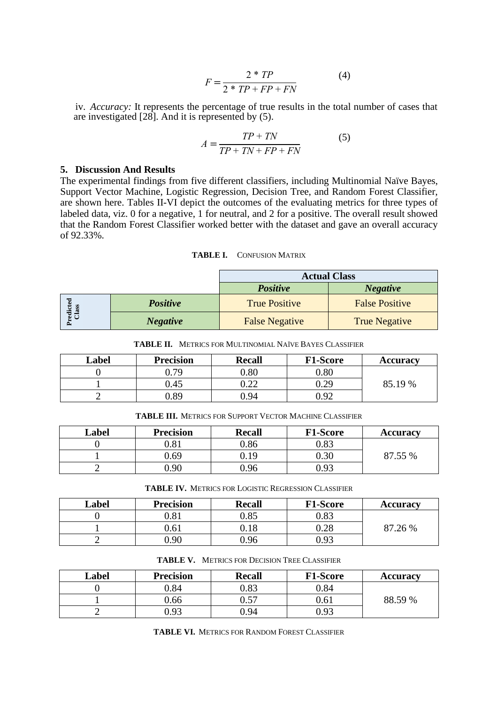$$
F = \frac{2 * TP}{2 * TP + FP + FN} \tag{4}
$$

iv. *Accuracy:* It represents the percentage of true results in the total number of cases that are investigated [28]. And it is represented by (5).

$$
A = \frac{TP + TN}{TP + TN + FP + FN}
$$
 (5)

## **5. Discussion And Results**

The experimental findings from five different classifiers, including Multinomial Naïve Bayes, Support Vector Machine, Logistic Regression, Decision Tree, and Random Forest Classifier, are shown here. Tables II-VI depict the outcomes of the evaluating metrics for three types of labeled data, viz. 0 for a negative, 1 for neutral, and 2 for a positive. The overall result showed that the Random Forest Classifier worked better with the dataset and gave an overall accuracy of 92.33%.

**TABLE I.** CONFUSION MATRIX

|                        |                 | <b>Actual Class</b>   |                       |  |
|------------------------|-----------------|-----------------------|-----------------------|--|
|                        |                 | <b>Positive</b>       | <b>Negative</b>       |  |
| 몽<br>Predicte<br>Class | <b>Positive</b> | <b>True Positive</b>  | <b>False Positive</b> |  |
|                        | <b>Negative</b> | <b>False Negative</b> | <b>True Negative</b>  |  |

**TABLE II.** METRICS FOR MULTINOMIAL NAÏVE BAYES CLASSIFIER

| Label | <b>Precision</b> | <b>Recall</b> | <b>F1-Score</b> | <b>Accuracy</b> |
|-------|------------------|---------------|-----------------|-----------------|
|       | .79              | $0.80\,$      | $0.80\,$        |                 |
|       | ).45             | ∪.∠∠          | 0.29            | 85.19 %         |
|       | ).89             | 0.94          | 0.92            |                 |

**TABLE III.** METRICS FOR SUPPORT VECTOR MACHINE CLASSIFIER

| Label | <b>Precision</b> | <b>Recall</b> | <b>F1-Score</b> | <b>Accuracy</b> |
|-------|------------------|---------------|-----------------|-----------------|
|       | 0.81             | 0.86          | 0.83            |                 |
|       | 0.69             | 1 C           | $0.30\,$        | $\frac{6}{10}$  |
|       | 0.90             | ገ ዓ6          | 0.93            |                 |

**TABLE IV.** METRICS FOR LOGISTIC REGRESSION CLASSIFIER

| Label | <b>Precision</b> | <b>Recall</b> | <b>F1-Score</b> | <b>Accuracy</b> |
|-------|------------------|---------------|-----------------|-----------------|
|       | 0.81             | 0.85          | 0.83            |                 |
|       | 0.61             |               | $0.28\,$        | 26 %            |
|       | 0.90             | 9.96          | 0.93            |                 |

| Label | <b>Precision</b> | <b>Recall</b> | <b>F1-Score</b> | <b>Accuracy</b> |
|-------|------------------|---------------|-----------------|-----------------|
|       | 0.84             | $0.83\,$      | 0.84            |                 |
|       | ).66             | へ ぐつ<br>U.J   | 0.61            | 88.59 %         |
|       | ).93             | ).94          | 193             |                 |

**TABLE VI.** METRICS FOR RANDOM FOREST CLASSIFIER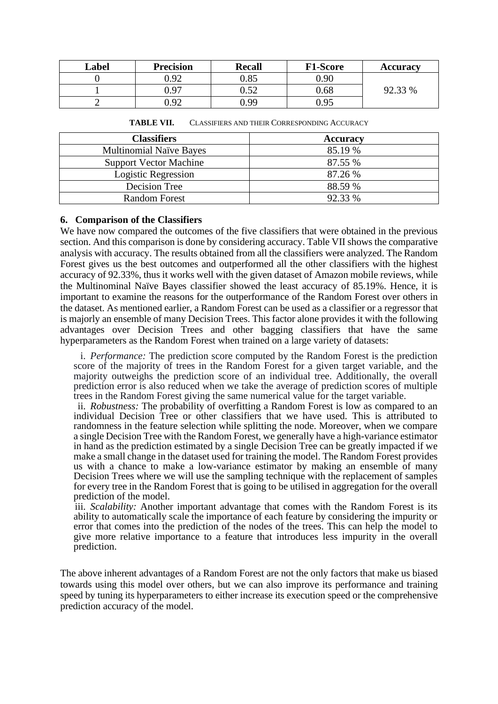| Label | <b>Precision</b>  | <b>Recall</b> | <b>F1-Score</b> | <b>Accuracy</b> |
|-------|-------------------|---------------|-----------------|-----------------|
|       | 0.92              | 0.85          | 0.90            |                 |
|       | 0.97              | ∩ <ኅ          | 0.68            | $2.33\%$        |
|       | 0.92 <sub>1</sub> | N 99          | 0.95            |                 |

| <b>Classifiers</b>             | <b>Accuracy</b> |
|--------------------------------|-----------------|
| <b>Multinomial Naïve Bayes</b> | 85.19 %         |
| <b>Support Vector Machine</b>  | 87.55 %         |
| Logistic Regression            | 87.26 %         |
| Decision Tree                  | 88.59 %         |
| <b>Random Forest</b>           | 92.33 %         |

**TABLE VII.** CLASSIFIERS AND THEIR CORRESPONDING ACCURACY

## **6. Comparison of the Classifiers**

We have now compared the outcomes of the five classifiers that were obtained in the previous section. And this comparison is done by considering accuracy. Table VII shows the comparative analysis with accuracy. The results obtained from all the classifiers were analyzed. The Random Forest gives us the best outcomes and outperformed all the other classifiers with the highest accuracy of 92.33%, thus it works well with the given dataset of Amazon mobile reviews, while the Multinominal Naïve Bayes classifier showed the least accuracy of 85.19%. Hence, it is important to examine the reasons for the outperformance of the Random Forest over others in the dataset. As mentioned earlier, a Random Forest can be used as a classifier or a regressor that is majorly an ensemble of many Decision Trees. This factor alone provides it with the following advantages over Decision Trees and other bagging classifiers that have the same hyperparameters as the Random Forest when trained on a large variety of datasets:

i. *Performance:* The prediction score computed by the Random Forest is the prediction score of the majority of trees in the Random Forest for a given target variable, and the majority outweighs the prediction score of an individual tree. Additionally, the overall prediction error is also reduced when we take the average of prediction scores of multiple trees in the Random Forest giving the same numerical value for the target variable.

ii. *Robustness:* The probability of overfitting a Random Forest is low as compared to an individual Decision Tree or other classifiers that we have used. This is attributed to randomness in the feature selection while splitting the node. Moreover, when we compare a single Decision Tree with the Random Forest, we generally have a high-variance estimator in hand as the prediction estimated by a single Decision Tree can be greatly impacted if we make a small change in the dataset used for training the model. The Random Forest provides us with a chance to make a low-variance estimator by making an ensemble of many Decision Trees where we will use the sampling technique with the replacement of samples for every tree in the Random Forest that is going to be utilised in aggregation for the overall prediction of the model.

iii. *Scalability:* Another important advantage that comes with the Random Forest is its ability to automatically scale the importance of each feature by considering the impurity or error that comes into the prediction of the nodes of the trees. This can help the model to give more relative importance to a feature that introduces less impurity in the overall prediction.

The above inherent advantages of a Random Forest are not the only factors that make us biased towards using this model over others, but we can also improve its performance and training speed by tuning its hyperparameters to either increase its execution speed or the comprehensive prediction accuracy of the model.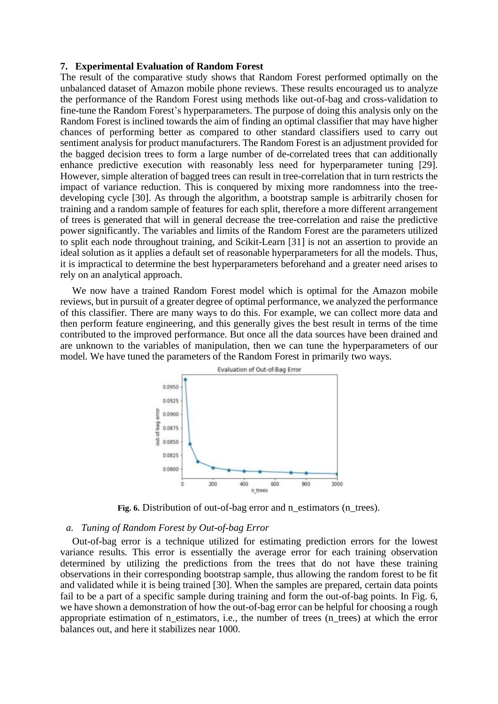#### **7. Experimental Evaluation of Random Forest**

The result of the comparative study shows that Random Forest performed optimally on the unbalanced dataset of Amazon mobile phone reviews. These results encouraged us to analyze the performance of the Random Forest using methods like out-of-bag and cross-validation to fine-tune the Random Forest's hyperparameters. The purpose of doing this analysis only on the Random Forest is inclined towards the aim of finding an optimal classifier that may have higher chances of performing better as compared to other standard classifiers used to carry out sentiment analysis for product manufacturers. The Random Forest is an adjustment provided for the bagged decision trees to form a large number of de-correlated trees that can additionally enhance predictive execution with reasonably less need for hyperparameter tuning [29]. However, simple alteration of bagged trees can result in tree-correlation that in turn restricts the impact of variance reduction. This is conquered by mixing more randomness into the treedeveloping cycle [30]. As through the algorithm, a bootstrap sample is arbitrarily chosen for training and a random sample of features for each split, therefore a more different arrangement of trees is generated that will in general decrease the tree-correlation and raise the predictive power significantly. The variables and limits of the Random Forest are the parameters utilized to split each node throughout training, and Scikit-Learn [31] is not an assertion to provide an ideal solution as it applies a default set of reasonable hyperparameters for all the models. Thus, it is impractical to determine the best hyperparameters beforehand and a greater need arises to rely on an analytical approach.

We now have a trained Random Forest model which is optimal for the Amazon mobile reviews, but in pursuit of a greater degree of optimal performance, we analyzed the performance of this classifier. There are many ways to do this. For example, we can collect more data and then perform feature engineering, and this generally gives the best result in terms of the time contributed to the improved performance. But once all the data sources have been drained and are unknown to the variables of manipulation, then we can tune the hyperparameters of our model. We have tuned the parameters of the Random Forest in primarily two ways.



Fig. 6. Distribution of out-of-bag error and n\_estimators (n\_trees).

#### *a. Tuning of Random Forest by Out-of-bag Error*

Out-of-bag error is a technique utilized for estimating prediction errors for the lowest variance results. This error is essentially the average error for each training observation determined by utilizing the predictions from the trees that do not have these training observations in their corresponding bootstrap sample, thus allowing the random forest to be fit and validated while it is being trained [30]. When the samples are prepared, certain data points fail to be a part of a specific sample during training and form the out-of-bag points. In Fig. 6, we have shown a demonstration of how the out-of-bag error can be helpful for choosing a rough appropriate estimation of n\_estimators, i.e., the number of trees (n\_trees) at which the error balances out, and here it stabilizes near 1000.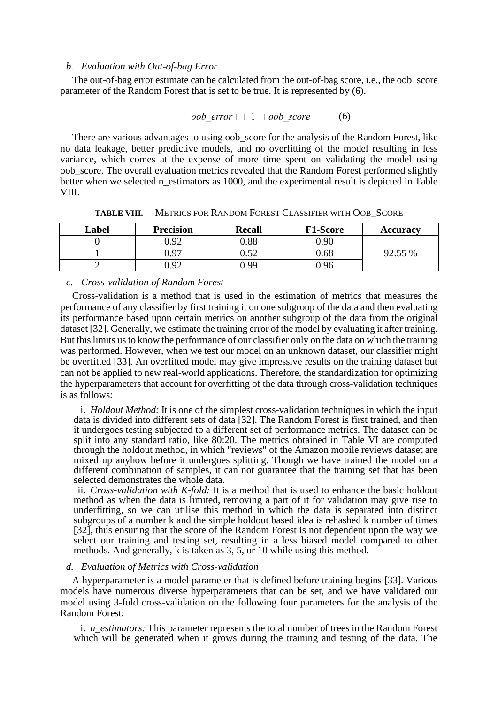#### *b. Evaluation with Out-of-bag Error*

The out-of-bag error estimate can be calculated from the out-of-bag score, i.e., the oob\_score parameter of the Random Forest that is set to be true. It is represented by (6).

$$
oob\ error \ \Box \ \Box \ \ oob\ score \qquad \qquad (6)
$$

There are various advantages to using oob score for the analysis of the Random Forest, like no data leakage, better predictive models, and no overfitting of the model resulting in less variance, which comes at the expense of more time spent on validating the model using oob\_score. The overall evaluation metrics revealed that the Random Forest performed slightly better when we selected n estimators as 1000, and the experimental result is depicted in Table VIII.

| Label | <b>Precision</b>  | <b>Recall</b> | <b>F1-Score</b> | <b>Accuracy</b> |
|-------|-------------------|---------------|-----------------|-----------------|
|       | 0.92              | 0.88          | 9.90            |                 |
|       | 97,               | ∪.J∠          | 0.68            | 92.55 %         |
| -     | 0.92 <sub>1</sub> | -99           | ).96            |                 |

**TABLE VIII.** METRICS FOR RANDOM FOREST CLASSIFIER WITH OOB\_SCORE

#### *c. Cross-validation of Random Forest*

Cross-validation is a method that is used in the estimation of metrics that measures the performance of any classifier by first training it on one subgroup of the data and then evaluating its performance based upon certain metrics on another subgroup of the data from the original dataset [32]. Generally, we estimate the training error of the model by evaluating it after training. But this limits us to know the performance of our classifier only on the data on which the training was performed. However, when we test our model on an unknown dataset, our classifier might be overfitted [33]. An overfitted model may give impressive results on the training dataset but can not be applied to new real-world applications. Therefore, the standardization for optimizing the hyperparameters that account for overfitting of the data through cross-validation techniques is as follows:

i. *Holdout Method:* It is one of the simplest cross-validation techniques in which the input data is divided into different sets of data [32]. The Random Forest is first trained, and then it undergoes testing subjected to a different set of performance metrics. The dataset can be split into any standard ratio, like 80:20. The metrics obtained in Table VI are computed through the holdout method, in which "reviews" of the Amazon mobile reviews dataset are mixed up anyhow before it undergoes splitting. Though we have trained the model on a different combination of samples, it can not guarantee that the training set that has been selected demonstrates the whole data.

ii. *Cross-validation with K-fold:* It is a method that is used to enhance the basic holdout method as when the data is limited, removing a part of it for validation may give rise to underfitting, so we can utilise this method in which the data is separated into distinct subgroups of a number k and the simple holdout based idea is rehashed k number of times [32], thus ensuring that the score of the Random Forest is not dependent upon the way we select our training and testing set, resulting in a less biased model compared to other methods. And generally, k is taken as 3, 5, or 10 while using this method.

#### *d. Evaluation of Metrics with Cross-validation*

A hyperparameter is a model parameter that is defined before training begins [33]. Various models have numerous diverse hyperparameters that can be set, and we have validated our model using 3-fold cross-validation on the following four parameters for the analysis of the Random Forest:

i. *n\_estimators:* This parameter represents the total number of trees in the Random Forest which will be generated when it grows during the training and testing of the data. The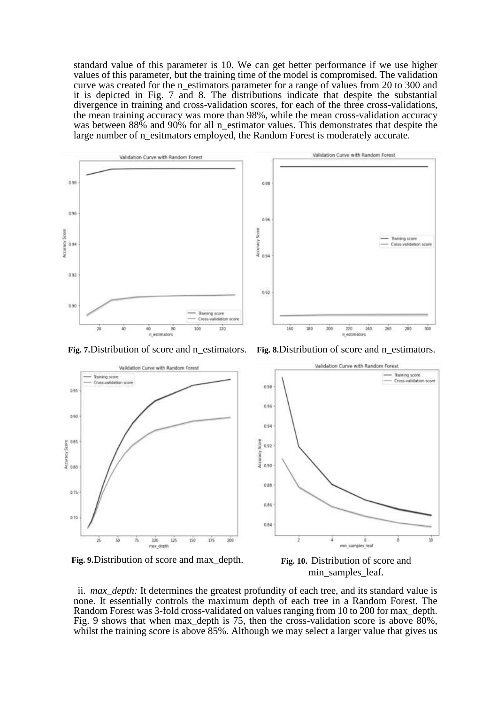standard value of this parameter is 10. We can get better performance if we use higher values of this parameter, but the training time of the model is compromised. The validation curve was created for the n\_estimators parameter for a range of values from 20 to 300 and it is depicted in Fig. 7 and 8. The distributions indicate that despite the substantial divergence in training and cross-validation scores, for each of the three cross-validations, the mean training accuracy was more than 98%, while the mean cross-validation accuracy was between 88% and 90% for all n\_estimator values. This demonstrates that despite the large number of n\_esitmators employed, the Random Forest is moderately accurate.





**Fig. 9.**Distribution of score and max\_depth. **Fig. 10.** Distribution of score and

min\_samples\_leaf.

ii. *max\_depth:* It determines the greatest profundity of each tree, and its standard value is none. It essentially controls the maximum depth of each tree in a Random Forest. The Random Forest was 3-fold cross-validated on values ranging from 10 to 200 for max\_depth. Fig. 9 shows that when max\_depth is 75, then the cross-validation score is above 80%, whilst the training score is above 85%. Although we may select a larger value that gives us

**Fig. 7.**Distribution of score and n\_estimators. **Fig. 8.**Distribution of score and n\_estimators.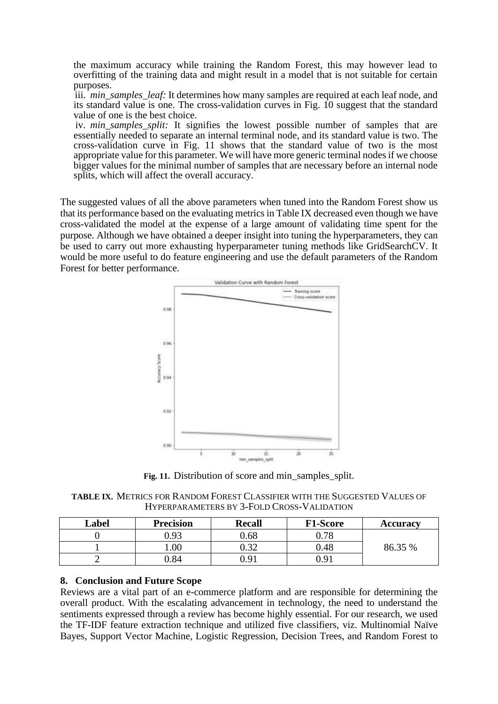the maximum accuracy while training the Random Forest, this may however lead to overfitting of the training data and might result in a model that is not suitable for certain purposes.

iii. *min\_samples\_leaf:* It determines how many samples are required at each leaf node, and its standard value is one. The cross-validation curves in Fig. 10 suggest that the standard value of one is the best choice.

iv. *min* samples split: It signifies the lowest possible number of samples that are essentially needed to separate an internal terminal node, and its standard value is two. The cross-validation curve in Fig. 11 shows that the standard value of two is the most appropriate value for this parameter. We will have more generic terminal nodes if we choose bigger values for the minimal number of samples that are necessary before an internal node splits, which will affect the overall accuracy.

The suggested values of all the above parameters when tuned into the Random Forest show us that its performance based on the evaluating metrics in Table IX decreased even though we have cross-validated the model at the expense of a large amount of validating time spent for the purpose. Although we have obtained a deeper insight into tuning the hyperparameters, they can be used to carry out more exhausting hyperparameter tuning methods like GridSearchCV. It would be more useful to do feature engineering and use the default parameters of the Random Forest for better performance.



Fig. 11. Distribution of score and min\_samples\_split.

**TABLE IX.** METRICS FOR RANDOM FOREST CLASSIFIER WITH THE SUGGESTED VALUES OF HYPERPARAMETERS BY 3-FOLD CROSS-VALIDATION

| Label | <b>Precision</b> | <b>Recall</b> | <b>F1-Score</b> | <b>Accuracy</b> |
|-------|------------------|---------------|-----------------|-----------------|
|       | 0.93             | 0.68          | 0.78            |                 |
|       | .00.             | ∩ 2つ          | 0.48            | 86.35 %         |
|       | ).84             | በ 91          | 0.91            |                 |

# **8. Conclusion and Future Scope**

Reviews are a vital part of an e-commerce platform and are responsible for determining the overall product. With the escalating advancement in technology, the need to understand the sentiments expressed through a review has become highly essential. For our research, we used the TF-IDF feature extraction technique and utilized five classifiers, viz. Multinomial Naïve Bayes, Support Vector Machine, Logistic Regression, Decision Trees, and Random Forest to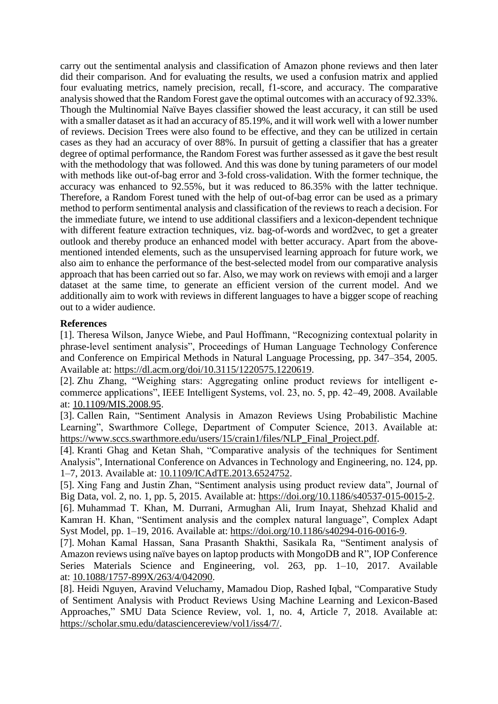carry out the sentimental analysis and classification of Amazon phone reviews and then later did their comparison. And for evaluating the results, we used a confusion matrix and applied four evaluating metrics, namely precision, recall, f1-score, and accuracy. The comparative analysis showed that the Random Forest gave the optimal outcomes with an accuracy of 92.33%. Though the Multinomial Naïve Bayes classifier showed the least accuracy, it can still be used with a smaller dataset as it had an accuracy of 85.19%, and it will work well with a lower number of reviews. Decision Trees were also found to be effective, and they can be utilized in certain cases as they had an accuracy of over 88%. In pursuit of getting a classifier that has a greater degree of optimal performance, the Random Forest was further assessed as it gave the best result with the methodology that was followed. And this was done by tuning parameters of our model with methods like out-of-bag error and 3-fold cross-validation. With the former technique, the accuracy was enhanced to 92.55%, but it was reduced to 86.35% with the latter technique. Therefore, a Random Forest tuned with the help of out-of-bag error can be used as a primary method to perform sentimental analysis and classification of the reviews to reach a decision. For the immediate future, we intend to use additional classifiers and a lexicon-dependent technique with different feature extraction techniques, viz. bag-of-words and word2vec, to get a greater outlook and thereby produce an enhanced model with better accuracy. Apart from the abovementioned intended elements, such as the unsupervised learning approach for future work, we also aim to enhance the performance of the best-selected model from our comparative analysis approach that has been carried out so far. Also, we may work on reviews with emoji and a larger dataset at the same time, to generate an efficient version of the current model. And we additionally aim to work with reviews in different languages to have a bigger scope of reaching out to a wider audience.

# **References**

[1]. Theresa Wilson, Janyce Wiebe, and Paul Hoffmann, "Recognizing contextual polarity in phrase-level sentiment analysis", Proceedings of Human Language Technology Conference and Conference on Empirical Methods in Natural Language Processing, pp. 347–354, 2005. Available at: [https://dl.acm.org/doi/10.3115/1220575.1220619.](https://dl.acm.org/doi/10.3115/1220575.1220619)

[2]. Zhu Zhang, "Weighing stars: Aggregating online product reviews for intelligent ecommerce applications", IEEE Intelligent Systems, vol. 23, no. 5, pp. 42–49, 2008. Available at: [10.1109/MIS.2008.95.](https://doi.org/10.1109/MIS.2008.95)

[3]. Callen Rain, "Sentiment Analysis in Amazon Reviews Using Probabilistic Machine Learning", Swarthmore College, Department of Computer Science, 2013. Available at: [https://www.sccs.swarthmore.edu/users/15/crain1/files/NLP\\_Final\\_Project.pdf.](https://www.sccs.swarthmore.edu/users/15/crain1/files/NLP_Final_Project.pdf)

[4]. Kranti Ghag and Ketan Shah, "Comparative analysis of the techniques for Sentiment Analysis", International Conference on Advances in Technology and Engineering, no. 124, pp. 1–7, 2013. Available at: [10.1109/ICAdTE.2013.6524752.](https://doi.org/10.1109/ICAdTE.2013.6524752)

[5]. Xing Fang and Justin Zhan, "Sentiment analysis using product review data", Journal of Big Data, vol. 2, no. 1, pp. 5, 2015. Available at: [https://doi.org/10.1186/s40537-015-0015-2.](https://doi.org/10.1186/s40537-015-0015-2)

[6]. Muhammad T. Khan, M. Durrani, Armughan Ali, Irum Inayat, Shehzad Khalid and Kamran H. Khan, "Sentiment analysis and the complex natural language", Complex Adapt Syst Model, pp. 1–19, 2016. Available at: [https://doi.org/10.1186/s40294-016-0016-9.](https://doi.org/10.1186/s40294-016-0016-9)

[7]. Mohan Kamal Hassan, Sana Prasanth Shakthi, Sasikala Ra, "Sentiment analysis of Amazon reviews using naïve bayes on laptop products with MongoDB and R", IOP Conference Series Materials Science and Engineering, vol. 263, pp. 1–10, 2017. Available at: [10.1088/1757-899X/263/4/042090.](http://dx.doi.org/10.1088/1757-899X/263/4/042090)

[8]. Heidi Nguyen, Aravind Veluchamy, Mamadou Diop, Rashed Iqbal, "Comparative Study of Sentiment Analysis with Product Reviews Using Machine Learning and Lexicon-Based Approaches," SMU Data Science Review, vol. 1, no. 4, Article 7, 2018. Available at: [https://scholar.smu.edu/datasciencereview/vol1/iss4/7/.](https://scholar.smu.edu/datasciencereview/vol1/iss4/7/)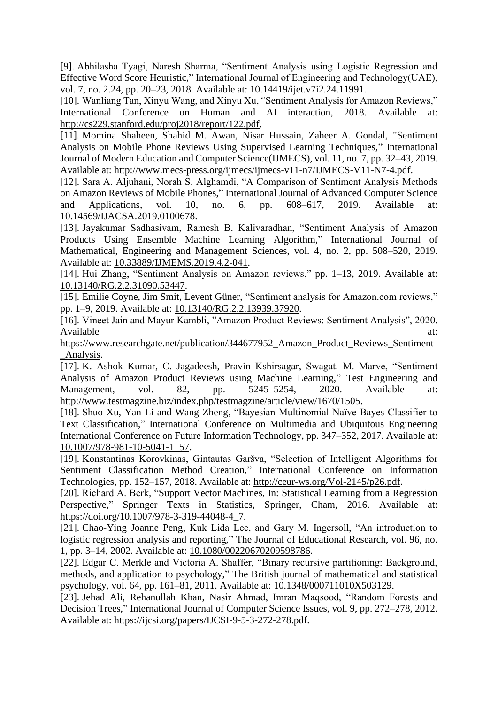[9]. Abhilasha Tyagi, Naresh Sharma, "Sentiment Analysis using Logistic Regression and Effective Word Score Heuristic," International Journal of Engineering and Technology(UAE), vol. 7, no. 2.24, pp. 20–23, 2018. Available at: [10.14419/ijet.v7i2.24.11991.](http://dx.doi.org/10.14419/ijet.v7i2.24.11991)

[10]. Wanliang Tan, Xinyu Wang, and Xinyu Xu, "Sentiment Analysis for Amazon Reviews," International Conference on Human and AI interaction, 2018. Available at: [http://cs229.stanford.edu/proj2018/report/122.pdf.](http://cs229.stanford.edu/proj2018/report/122.pdf)

[11]. Momina Shaheen, Shahid M. Awan, Nisar Hussain, Zaheer A. Gondal, "Sentiment Analysis on Mobile Phone Reviews Using Supervised Learning Techniques," International Journal of Modern Education and Computer Science(IJMECS), vol. 11, no. 7, pp. 32–43, 2019. Available at: [http://www.mecs-press.org/ijmecs/ijmecs-v11-n7/IJMECS-V11-N7-4.pdf.](http://www.mecs-press.org/ijmecs/ijmecs-v11-n7/IJMECS-V11-N7-4.pdf)

[12]. Sara A. Aljuhani, Norah S. Alghamdi, "A Comparison of Sentiment Analysis Methods on Amazon Reviews of Mobile Phones," International Journal of Advanced Computer Science and Applications, vol. 10, no. 6, pp. 608–617, 2019. Available at: [10.14569/IJACSA.2019.0100678.](http://dx.doi.org/10.14569/IJACSA.2019.0100678)

[13]. Jayakumar Sadhasivam, Ramesh B. Kalivaradhan, "Sentiment Analysis of Amazon Products Using Ensemble Machine Learning Algorithm," International Journal of Mathematical, Engineering and Management Sciences, vol. 4, no. 2, pp. 508–520, 2019. Available at: [10.33889/IJMEMS.2019.4.2-041.](http://dx.doi.org/10.33889/IJMEMS.2019.4.2-041)

[14]. Hui Zhang, "Sentiment Analysis on Amazon reviews," pp. 1–13, 2019. Available at: [10.13140/RG.2.2.31090.53447.](http://dx.doi.org/10.13140/RG.2.2.31090.53447)

[15]. Emilie Coyne, Jim Smit, Levent Güner, "Sentiment analysis for Amazon.com reviews," pp. 1–9, 2019. Available at: [10.13140/RG.2.2.13939.37920.](http://dx.doi.org/10.13140/RG.2.2.13939.37920)

[16]. Vineet Jain and Mayur Kambli, "Amazon Product Reviews: Sentiment Analysis", 2020. Available at:  $\overline{a}$  at:

[https://www.researchgate.net/publication/344677952\\_Amazon\\_Product\\_Reviews\\_Sentiment](https://www.researchgate.net/publication/344677952_Amazon_Product_Reviews_Sentiment_Analysis) Analysis.

[17]. K. Ashok Kumar, C. Jagadeesh, Pravin Kshirsagar, Swagat. M. Marve, "Sentiment Analysis of Amazon Product Reviews using Machine Learning," Test Engineering and Management, vol. 82, pp. 5245–5254, 2020. Available at: [http://www.testmagzine.biz/index.php/testmagzine/article/view/1670/1505.](http://www.testmagzine.biz/index.php/testmagzine/article/view/1670/1505)

[18]. Shuo Xu, Yan Li and Wang Zheng, "Bayesian Multinomial Naïve Bayes Classifier to Text Classification," International Conference on Multimedia and Ubiquitous Engineering International Conference on Future Information Technology, pp. 347–352, 2017. Available at: [10.1007/978-981-10-5041-1\\_57.](http://dx.doi.org/10.1007/978-981-10-5041-1_57)

[19]. Konstantinas Korovkinas, Gintautas Garšva, "Selection of Intelligent Algorithms for Sentiment Classification Method Creation," International Conference on Information Technologies, pp. 152–157, 2018. Available at: [http://ceur-ws.org/Vol-2145/p26.pdf.](http://ceur-ws.org/Vol-2145/p26.pdf)

[20]. Richard A. Berk, "Support Vector Machines, In: Statistical Learning from a Regression Perspective," Springer Texts in Statistics, Springer, Cham, 2016. Available at: [https://doi.org/10.1007/978-3-319-44048-4\\_7.](https://doi.org/10.1007/978-3-319-44048-4_7)

[21]. Chao-Ying Joanne Peng, Kuk Lida Lee, and Gary M. Ingersoll, "An introduction to logistic regression analysis and reporting," The Journal of Educational Research, vol. 96, no. 1, pp. 3–14, 2002. Available at: [10.1080/00220670209598786.](http://dx.doi.org/10.1080/00220670209598786)

[22]. Edgar C. Merkle and Victoria A. Shaffer, "Binary recursive partitioning: Background, methods, and application to psychology," The British journal of mathematical and statistical psychology, vol. 64, pp. 161–81, 2011. Available at: [10.1348/000711010X503129.](http://dx.doi.org/10.1348/000711010X503129)

[23]. Jehad Ali, Rehanullah Khan, Nasir Ahmad, Imran Maqsood, "Random Forests and Decision Trees," International Journal of Computer Science Issues, vol. 9, pp. 272–278, 2012. Available at: [https://ijcsi.org/papers/IJCSI-9-5-3-272-278.pdf.](https://ijcsi.org/papers/IJCSI-9-5-3-272-278.pdf)